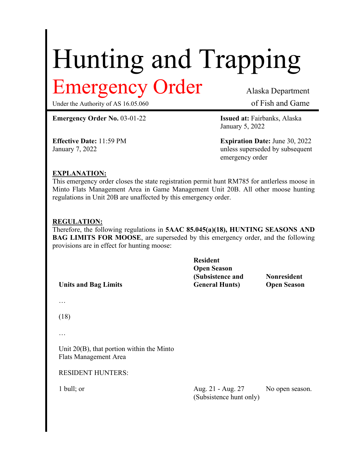# Hunting and Trapping Emergency Order Alaska Department

Under the Authority of AS 16.05.060 of Fish and Game

**Emergency Order No.** 03-01-22 **Issued at:** Fairbanks, Alaska

January 5, 2022

**Effective Date:** 11:59 PM **Expiration Date:** June 30, 2022 January 7, 2022 **unless** superseded by subsequent emergency order

## **EXPLANATION:**

This emergency order closes the state registration permit hunt RM785 for antlerless moose in Minto Flats Management Area in Game Management Unit 20B. All other moose hunting regulations in Unit 20B are unaffected by this emergency order.

## **REGULATION:**

Therefore, the following regulations in **5AAC 85.045(a)(18), HUNTING SEASONS AND BAG LIMITS FOR MOOSE**, are superseded by this emergency order, and the following provisions are in effect for hunting moose:

**Units and Bag Limits**

**Resident Open Season (Subsistence and General Hunts)**

**Nonresident Open Season**

…

(18)

…

Unit 20(B), that portion within the Minto Flats Management Area

RESIDENT HUNTERS:

1 bull; or Aug. 21 - Aug. 27 (Subsistence hunt only) No open season.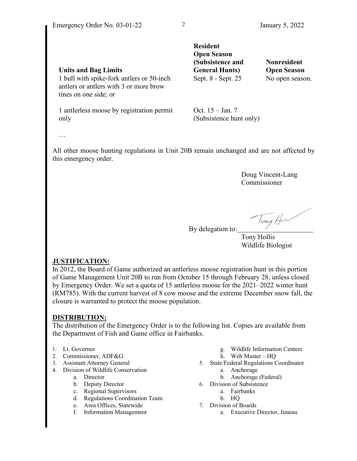|                                                                                                              | <b>Resident</b><br><b>Open Season</b><br>(Subsistence and   | Nonresident        |
|--------------------------------------------------------------------------------------------------------------|-------------------------------------------------------------|--------------------|
| <b>Units and Bag Limits</b>                                                                                  | <b>General Hunts</b> )                                      | <b>Open Season</b> |
| 1 bull with spike-fork antlers or 50-inch<br>antlers or antlers with 3 or more brow<br>tines on one side; or | Sept. 8 - Sept. 25                                          | No open season.    |
|                                                                                                              | $\bigcap$ $\bigcap$ $\bigcap$ $\bigcap$ $\bigcap$ $\bigcap$ |                    |

1 antlerless moose by registration permit only

Oct. 15 – Jan. 7 (Subsistence hunt only)

…

All other moose hunting regulations in Unit 20B remain unchanged and are not affected by this emergency order.

> Doug Vincent-Lang Commissioner

lony  $\epsilon$ 

By delegation to:

 Tony Hollis Wildlife Biologist

### **JUSTIFICATION:**

In 2012, the Board of Game authorized an antlerless moose registration hunt in this portion of Game Management Unit 20B to run from October 15 through February 28, unless closed by Emergency Order. We set a quota of 15 antlerless moose for the 2021–2022 winter hunt (RM785). With the current harvest of 8 cow moose and the extreme December snow fall, the closure is warranted to protect the moose population.

## **DISTRIBUTION:**

The distribution of the Emergency Order is to the following list. Copies are available from the Department of Fish and Game office in Fairbanks.

- 1. Lt. Governor
- 2. Commissioner, ADF&G
- 3. Assistant Attorney General
- 4. Division of Wildlife Conservation
	- a. Director
	- b. Deputy Director
	- c. Regional Supervisors
	- d. Regulations Coordination Team
	- e. Area Offices, Statewide
	- f. Information Management
- g. Wildlife Information Centers
- h. Web Master HQ
- 5. State/Federal Regulations Coordinator
	- a. Anchorage
		- b. Anchorage (Federal)
- 6. Division of Subsistence
	- a. Fairbanks
	- b. HQ
- 7. Division of Boards
	- a. Executive Director, Juneau